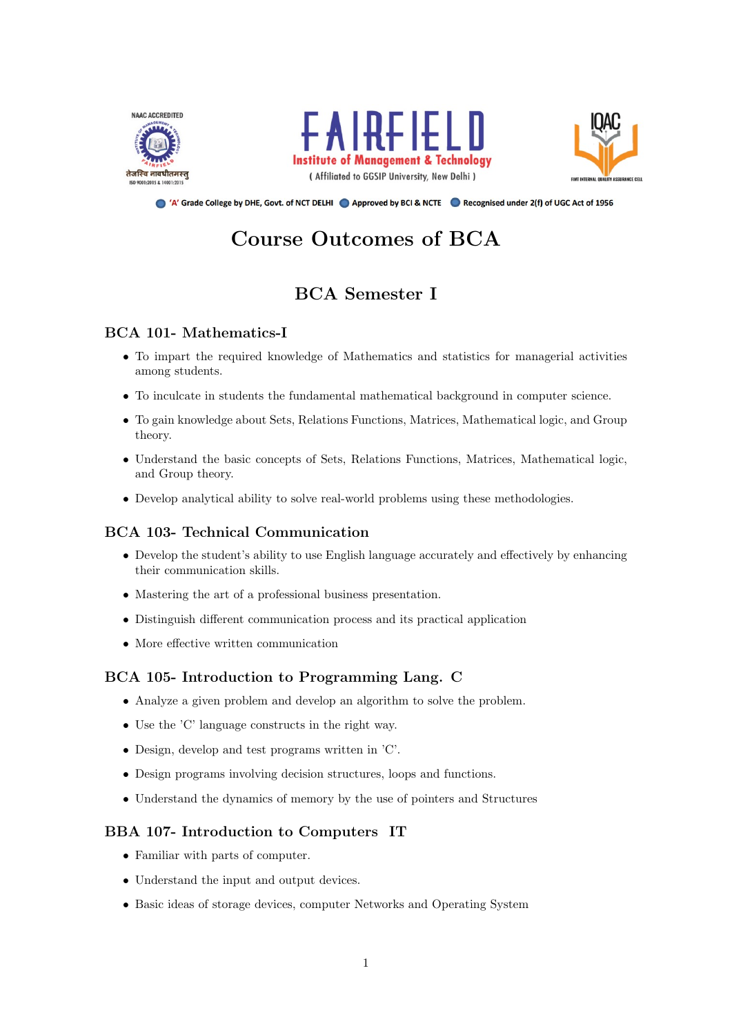





Approved by DHE, Govt. of NCT DELHI Approved by BCI & NCTE A Recognised under 2(f) of UGC Act of 1956

# Course Outcomes of BCA

# BCA Semester I

# BCA 101- Mathematics-I

- To impart the required knowledge of Mathematics and statistics for managerial activities among students.
- To inculcate in students the fundamental mathematical background in computer science.
- To gain knowledge about Sets, Relations Functions, Matrices, Mathematical logic, and Group theory.
- Understand the basic concepts of Sets, Relations Functions, Matrices, Mathematical logic, and Group theory.
- Develop analytical ability to solve real-world problems using these methodologies.

# BCA 103- Technical Communication

- Develop the student's ability to use English language accurately and effectively by enhancing their communication skills.
- Mastering the art of a professional business presentation.
- Distinguish different communication process and its practical application
- More effective written communication

# BCA 105- Introduction to Programming Lang. C

- Analyze a given problem and develop an algorithm to solve the problem.
- Use the 'C' language constructs in the right way.
- Design, develop and test programs written in 'C'.
- Design programs involving decision structures, loops and functions.
- Understand the dynamics of memory by the use of pointers and Structures

# BBA 107- Introduction to Computers IT

- Familiar with parts of computer.
- Understand the input and output devices.
- Basic ideas of storage devices, computer Networks and Operating System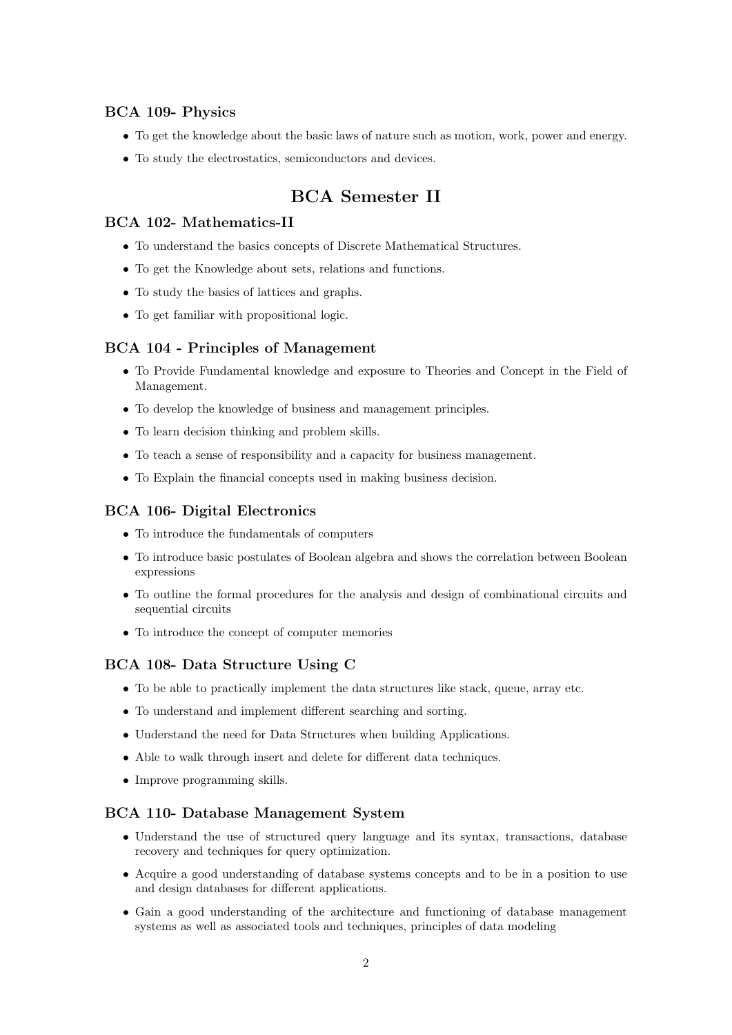### BCA 109- Physics

- To get the knowledge about the basic laws of nature such as motion, work, power and energy.
- To study the electrostatics, semiconductors and devices.

# BCA Semester II

# BCA 102- Mathematics-II

- To understand the basics concepts of Discrete Mathematical Structures.
- To get the Knowledge about sets, relations and functions.
- To study the basics of lattices and graphs.
- To get familiar with propositional logic.

### BCA 104 - Principles of Management

- To Provide Fundamental knowledge and exposure to Theories and Concept in the Field of Management.
- To develop the knowledge of business and management principles.
- To learn decision thinking and problem skills.
- To teach a sense of responsibility and a capacity for business management.
- To Explain the financial concepts used in making business decision.

### BCA 106- Digital Electronics

- To introduce the fundamentals of computers
- To introduce basic postulates of Boolean algebra and shows the correlation between Boolean expressions
- To outline the formal procedures for the analysis and design of combinational circuits and sequential circuits
- To introduce the concept of computer memories

### BCA 108- Data Structure Using C

- To be able to practically implement the data structures like stack, queue, array etc.
- To understand and implement different searching and sorting.
- Understand the need for Data Structures when building Applications.
- Able to walk through insert and delete for different data techniques.
- Improve programming skills.

### BCA 110- Database Management System

- Understand the use of structured query language and its syntax, transactions, database recovery and techniques for query optimization.
- Acquire a good understanding of database systems concepts and to be in a position to use and design databases for different applications.
- Gain a good understanding of the architecture and functioning of database management systems as well as associated tools and techniques, principles of data modeling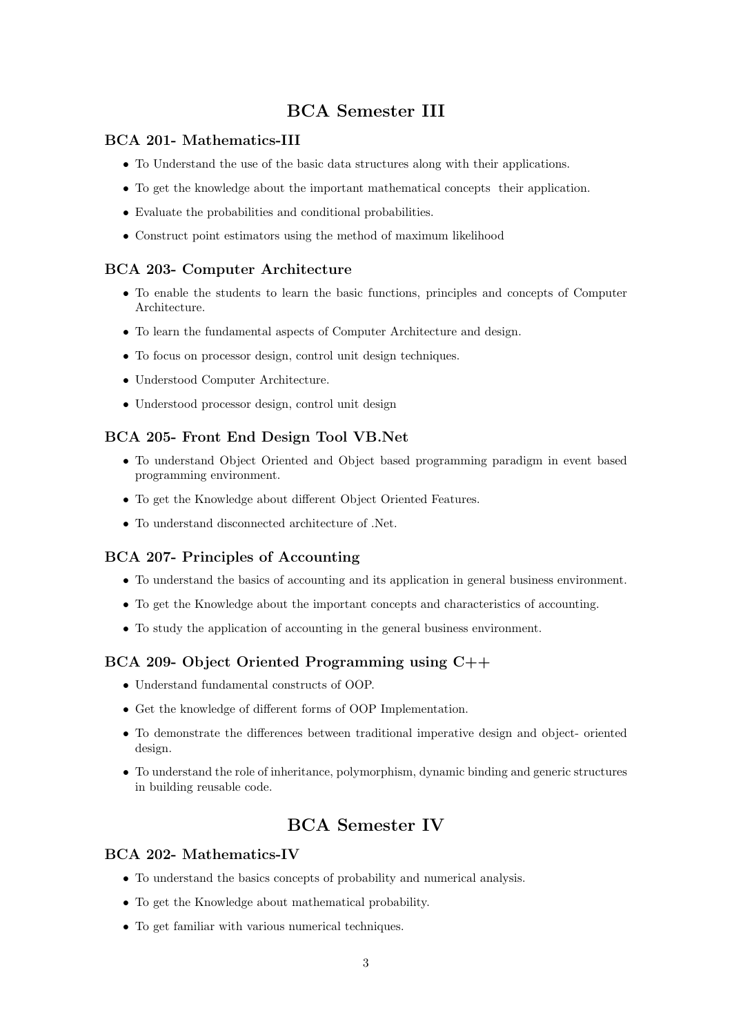# BCA Semester III

### BCA 201- Mathematics-III

- To Understand the use of the basic data structures along with their applications.
- To get the knowledge about the important mathematical concepts their application.
- Evaluate the probabilities and conditional probabilities.
- Construct point estimators using the method of maximum likelihood

### BCA 203- Computer Architecture

- To enable the students to learn the basic functions, principles and concepts of Computer Architecture.
- To learn the fundamental aspects of Computer Architecture and design.
- To focus on processor design, control unit design techniques.
- Understood Computer Architecture.
- Understood processor design, control unit design

### BCA 205- Front End Design Tool VB.Net

- To understand Object Oriented and Object based programming paradigm in event based programming environment.
- To get the Knowledge about different Object Oriented Features.
- To understand disconnected architecture of .Net.

### BCA 207- Principles of Accounting

- To understand the basics of accounting and its application in general business environment.
- To get the Knowledge about the important concepts and characteristics of accounting.
- To study the application of accounting in the general business environment.

#### BCA 209- Object Oriented Programming using C++

- Understand fundamental constructs of OOP.
- Get the knowledge of different forms of OOP Implementation.
- To demonstrate the differences between traditional imperative design and object- oriented design.
- To understand the role of inheritance, polymorphism, dynamic binding and generic structures in building reusable code.

# BCA Semester IV

#### BCA 202- Mathematics-IV

- To understand the basics concepts of probability and numerical analysis.
- To get the Knowledge about mathematical probability.
- To get familiar with various numerical techniques.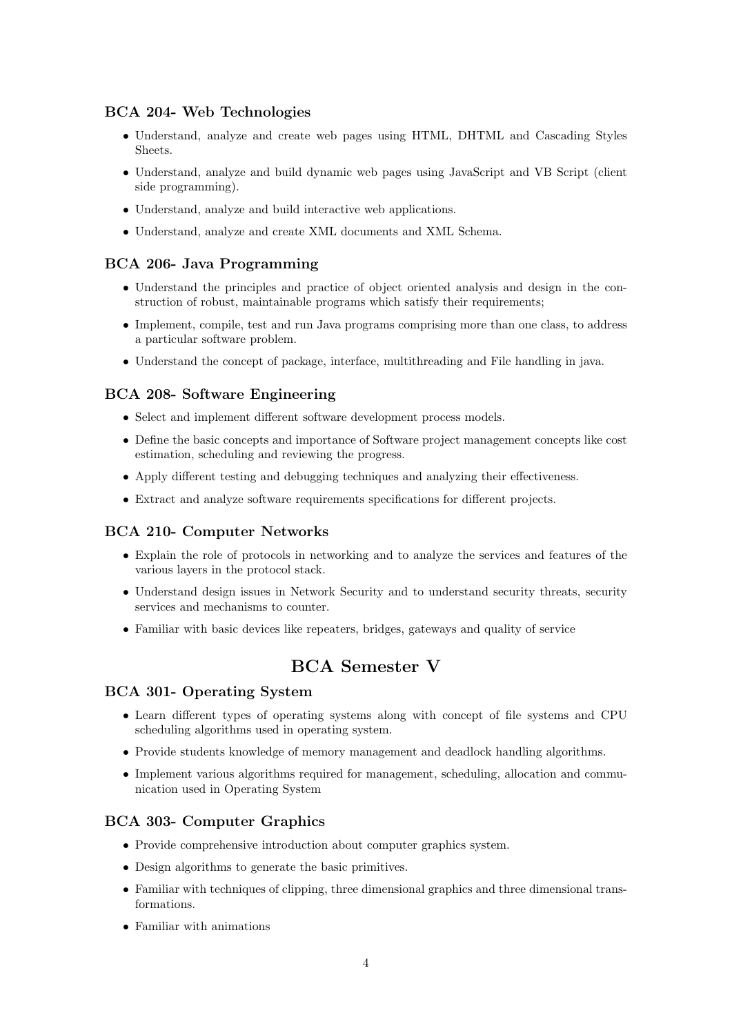### BCA 204- Web Technologies

- Understand, analyze and create web pages using HTML, DHTML and Cascading Styles Sheets.
- Understand, analyze and build dynamic web pages using JavaScript and VB Script (client side programming).
- Understand, analyze and build interactive web applications.
- Understand, analyze and create XML documents and XML Schema.

### BCA 206- Java Programming

- Understand the principles and practice of object oriented analysis and design in the construction of robust, maintainable programs which satisfy their requirements;
- Implement, compile, test and run Java programs comprising more than one class, to address a particular software problem.
- Understand the concept of package, interface, multithreading and File handling in java.

### BCA 208- Software Engineering

- Select and implement different software development process models.
- Define the basic concepts and importance of Software project management concepts like cost estimation, scheduling and reviewing the progress.
- Apply different testing and debugging techniques and analyzing their effectiveness.
- Extract and analyze software requirements specifications for different projects.

### BCA 210- Computer Networks

- Explain the role of protocols in networking and to analyze the services and features of the various layers in the protocol stack.
- Understand design issues in Network Security and to understand security threats, security services and mechanisms to counter.
- Familiar with basic devices like repeaters, bridges, gateways and quality of service

# BCA Semester V

#### BCA 301- Operating System

- Learn different types of operating systems along with concept of file systems and CPU scheduling algorithms used in operating system.
- Provide students knowledge of memory management and deadlock handling algorithms.
- Implement various algorithms required for management, scheduling, allocation and communication used in Operating System

### BCA 303- Computer Graphics

- Provide comprehensive introduction about computer graphics system.
- Design algorithms to generate the basic primitives.
- Familiar with techniques of clipping, three dimensional graphics and three dimensional transformations.
- Familiar with animations